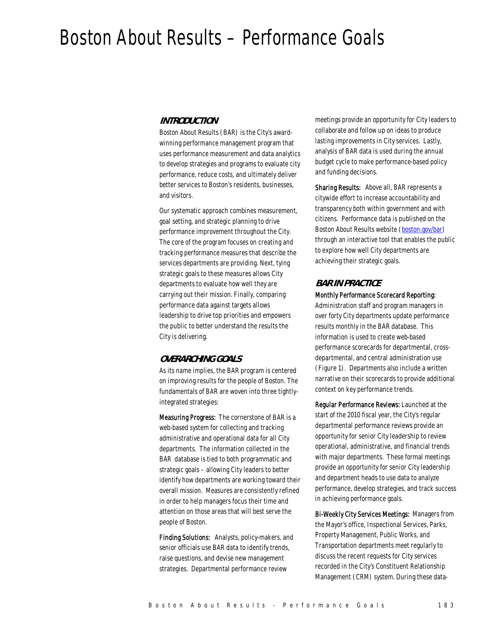# Boston About Results – Performance Goals

#### *INTRODUCTION*

Boston About Results (BAR) is the City's awardwinning performance management program that uses performance measurement and data analytics to develop strategies and programs to evaluate city performance, reduce costs, and ultimately deliver better services to Boston's residents, businesses, and visitors.

Our systematic approach combines measurement, goal setting, and strategic planning to drive performance improvement throughout the City. The core of the program focuses on creating and tracking performance measures that describe the services departments are providing. Next, tying strategic goals to these measures allows City departments to evaluate how well they are carrying out their mission. Finally, comparing performance data against targets allows leadership to drive top priorities and empowers the public to better understand the results the City is delivering.

#### *OVERARCHING GOALS*

As its name implies, the BAR program is centered on improving results for the people of Boston. The fundamentals of BAR are woven into three tightlyintegrated strategies:

Measuring Progress: The cornerstone of BAR is a web-based system for collecting and tracking administrative and operational data for all City departments. The information collected in the BAR database is tied to both programmatic and strategic goals – allowing City leaders to better identify how departments are working toward their overall mission. Measures are consistently refined in order to help managers focus their time and attention on those areas that will best serve the people of Boston.

Finding Solutions: Analysts, policy-makers, and senior officials use BAR data to identify trends, raise questions, and devise new management strategies. Departmental performance review

meetings provide an opportunity for City leaders to collaborate and follow up on ideas to produce lasting improvements in City services. Lastly, analysis of BAR data is used during the annual budget cycle to make performance-based policy and funding decisions.

Sharing Results: Above all, BAR represents a citywide effort to increase accountability and transparency both within government and with citizens. Performance data is published on the Boston About Results website (boston.gov/bar) through an interactive tool that enables the public to explore how well City departments are achieving their strategic goals.

# *BAR IN PRACTICE*

#### Monthly Performance Scorecard Reporting:

Administration staff and program managers in over forty City departments update performance results monthly in the BAR database. This information is used to create web-based performance scorecards for departmental, crossdepartmental, and central administration use (Figure 1). Departments also include a written narrative on their scorecards to provide additional context on key performance trends.

Regular Performance Reviews: Launched at the start of the 2010 fiscal year, the City's regular departmental performance reviews provide an opportunity for senior City leadership to review operational, administrative, and financial trends with major departments. These formal meetings provide an opportunity for senior City leadership and department heads to use data to analyze performance, develop strategies, and track success in achieving performance goals.

Bi-Weekly City Services Meetings: Managers from the Mayor's office, Inspectional Services, Parks, Property Management, Public Works, and Transportation departments meet regularly to discuss the recent requests for City services recorded in the City's Constituent Relationship Management (CRM) system. During these data-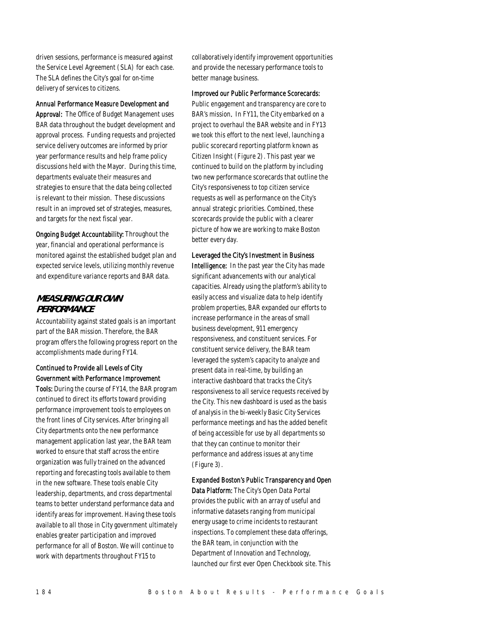driven sessions, performance is measured against the Service Level Agreement (SLA) for each case. The SLA defines the City's goal for on-time delivery of services to citizens.

#### Annual Performance Measure Development and

Approval: The Office of Budget Management uses BAR data throughout the budget development and approval process. Funding requests and projected service delivery outcomes are informed by prior year performance results and help frame policy discussions held with the Mayor. During this time, departments evaluate their measures and strategies to ensure that the data being collected is relevant to their mission. These discussions result in an improved set of strategies, measures, and targets for the next fiscal year.

Ongoing Budget Accountability: Throughout the year, financial and operational performance is monitored against the established budget plan and expected service levels, utilizing monthly revenue and expenditure variance reports and BAR data.

## *MEASURING OUR OWN PERFORMANCE*

Accountability against stated goals is an important part of the BAR mission. Therefore, the BAR program offers the following progress report on the accomplishments made during FY14.

# Continued to Provide all Levels of City Government with Performance Improvement

Tools: During the course of FY14, the BAR program continued to direct its efforts toward providing performance improvement tools to employees on the front lines of City services. After bringing all City departments onto the new performance management application last year, the BAR team worked to ensure that staff across the entire organization was fully trained on the advanced reporting and forecasting tools available to them in the new software. These tools enable City leadership, departments, and cross departmental teams to better understand performance data and identify areas for improvement. Having these tools available to all those in City government ultimately enables greater participation and improved performance for all of Boston. We will continue to work with departments throughout FY15 to

collaboratively identify improvement opportunities and provide the necessary performance tools to better manage business.

#### Improved our Public Performance Scorecards:

Public engagement and transparency are core to BAR's mission. In FY11, the City embarked on a project to overhaul the BAR website and in FY13 we took this effort to the next level, launching a public scorecard reporting platform known as Citizen Insight (Figure 2). This past year we continued to build on the platform by including two new performance scorecards that outline the City's responsiveness to top citizen service requests as well as performance on the City's annual strategic priorities. Combined, these scorecards provide the public with a clearer picture of how we are working to make Boston better every day.

#### Leveraged the City's Investment in Business

Intelligence: In the past year the City has made significant advancements with our analytical capacities. Already using the platform's ability to easily access and visualize data to help identify problem properties, BAR expanded our efforts to increase performance in the areas of small business development, 911 emergency responsiveness, and constituent services. For constituent service delivery, the BAR team leveraged the system's capacity to analyze and present data in real-time, by building an interactive dashboard that tracks the City's responsiveness to all service requests received by the City. This new dashboard is used as the basis of analysis in the bi-weekly Basic City Services performance meetings and has the added benefit of being accessible for use by all departments so that they can continue to monitor their performance and address issues at any time (Figure 3).

Expanded Boston's Public Transparency and Open Data Platform: The City's Open Data Portal provides the public with an array of useful and informative datasets ranging from municipal energy usage to crime incidents to restaurant inspections. To complement these data offerings, the BAR team, in conjunction with the Department of Innovation and Technology, launched our first ever Open Checkbook site. This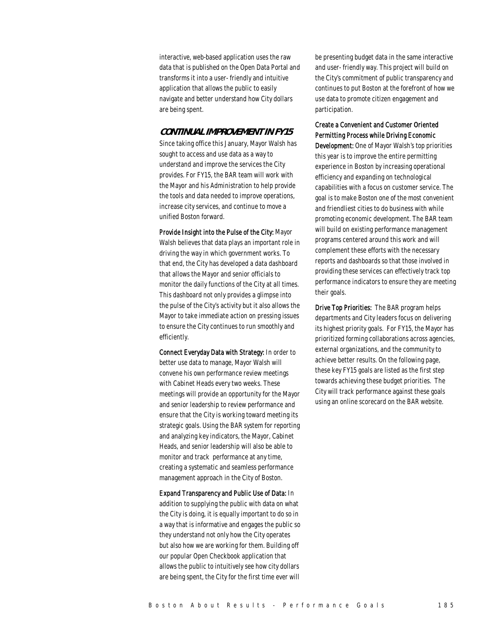interactive, web-based application uses the raw data that is published on the Open Data Portal and transforms it into a user- friendly and intuitive application that allows the public to easily navigate and better understand how City dollars are being spent.

#### *CONTINUAL IMPROVEMENT IN FY15*

Since taking office this January, Mayor Walsh has sought to access and use data as a way to understand and improve the services the City provides. For FY15, the BAR team will work with the Mayor and his Administration to help provide the tools and data needed to improve operations, increase city services, and continue to move a unified Boston forward.

Provide Insight into the Pulse of the City: Mayor Walsh believes that data plays an important role in driving the way in which government works. To that end, the City has developed a data dashboard that allows the Mayor and senior officials to monitor the daily functions of the City at all times. This dashboard not only provides a glimpse into the pulse of the City's activity but it also allows the Mayor to take immediate action on pressing issues to ensure the City continues to run smoothly and efficiently.

Connect Everyday Data with Strategy: In order to better use data to manage, Mayor Walsh will convene his own performance review meetings with Cabinet Heads every two weeks. These meetings will provide an opportunity for the Mayor and senior leadership to review performance and ensure that the City is working toward meeting its strategic goals. Using the BAR system for reporting and analyzing key indicators, the Mayor, Cabinet Heads, and senior leadership will also be able to monitor and track performance at any time, creating a systematic and seamless performance management approach in the City of Boston.

Expand Transparency and Public Use of Data: In addition to supplying the public with data on what the City is doing, it is equally important to do so in a way that is informative and engages the public so they understand not only how the City operates but also how we are working for them. Building off our popular Open Checkbook application that allows the public to intuitively see how city dollars are being spent, the City for the first time ever will

be presenting budget data in the same interactive and user- friendly way. This project will build on the City's commitment of public transparency and continues to put Boston at the forefront of how we use data to promote citizen engagement and participation.

## Create a Convenient and Customer Oriented Permitting Process while Driving Economic

Development: One of Mayor Walsh's top priorities this year is to improve the entire permitting experience in Boston by increasing operational efficiency and expanding on technological capabilities with a focus on customer service. The goal is to make Boston one of the most convenient and friendliest cities to do business with while promoting economic development. The BAR team will build on existing performance management programs centered around this work and will complement these efforts with the necessary reports and dashboards so that those involved in providing these services can effectively track top performance indicators to ensure they are meeting their goals.

Drive Top Priorities: The BAR program helps departments and City leaders focus on delivering its highest priority goals. For FY15, the Mayor has prioritized forming collaborations across agencies, external organizations, and the community to achieve better results. On the following page, these key FY15 goals are listed as the first step towards achieving these budget priorities. The City will track performance against these goals using an online scorecard on the BAR website.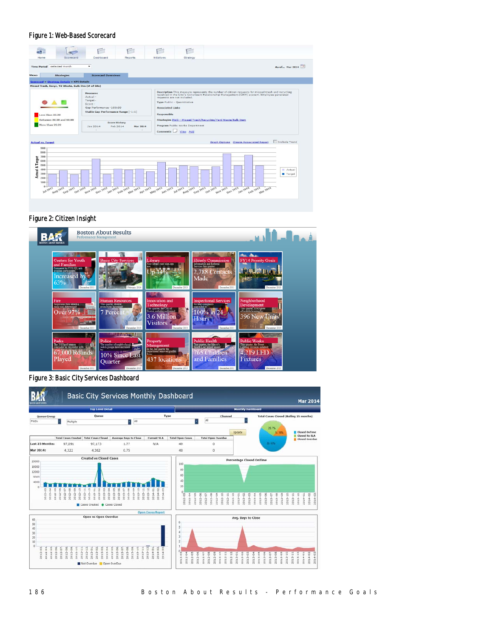#### Figure 1: Web-Based Scorecard

| <b>PURN</b><br>as it si                                                                                        |                                                                                                                      |                                                                                 |                                        |                                                          |                                                                                                                                                                                                 |
|----------------------------------------------------------------------------------------------------------------|----------------------------------------------------------------------------------------------------------------------|---------------------------------------------------------------------------------|----------------------------------------|----------------------------------------------------------|-------------------------------------------------------------------------------------------------------------------------------------------------------------------------------------------------|
| Home<br>Scorecard                                                                                              | Dashboard                                                                                                            | <b>Reports</b>                                                                  | <b>Initiatives</b>                     | Strategy                                                 |                                                                                                                                                                                                 |
| Time Period selected month<br><b>Strategies</b>                                                                | ٠<br><b>Scorecard Overviews</b>                                                                                      |                                                                                 |                                        |                                                          | As of  Mar 2014                                                                                                                                                                                 |
| <b>Scorecard &gt; Strategy Details &gt; KPI Details</b>                                                        |                                                                                                                      |                                                                                 |                                        |                                                          |                                                                                                                                                                                                 |
| Missed Trash, Recyc, Yd Waste, Bulk Itm (# of SRs)                                                             |                                                                                                                      |                                                                                 |                                        |                                                          |                                                                                                                                                                                                 |
| Less than 89.99                                                                                                | <b>Measures</b><br>Actual -<br>Target-<br>Score -<br>Gap Performance - 100.00<br>Stable Gap Performance Range [-1:1] |                                                                                 | <b>Associated Links</b><br>Responsible | requests are not included.<br>Type Public - Quantitative | Description This measure represents the number of citizen requests for missed trash and recycling<br>received in the City's Consituent Relationship Management (CRM) system. Employee generated |
| Between 89,99 and 99,99                                                                                        |                                                                                                                      |                                                                                 |                                        |                                                          | Strategies PWD - Missed Trash/Recycling/Vard Waste/Bulk Item                                                                                                                                    |
| More than 99.99                                                                                                | Jan 2014                                                                                                             | <b>Score History</b><br>Feb 2014<br><b>Mar 2014</b><br>$\overline{\phantom{a}}$ |                                        | Program Public Works Department<br>Comments U View Add   |                                                                                                                                                                                                 |
| <b>Actual vs. Target</b><br>900<br>800<br>700<br><b>Actual &amp; Target</b><br>600<br>500<br>400<br>300<br>200 |                                                                                                                      |                                                                                 |                                        |                                                          | Include Trend<br><b>Graph Options Create Associated Report</b><br>Actual<br>Target<br>Oct 2013                                                                                                  |

#### Figure 2: Citizen Insight



Figure 3: Basic City Services Dashboard

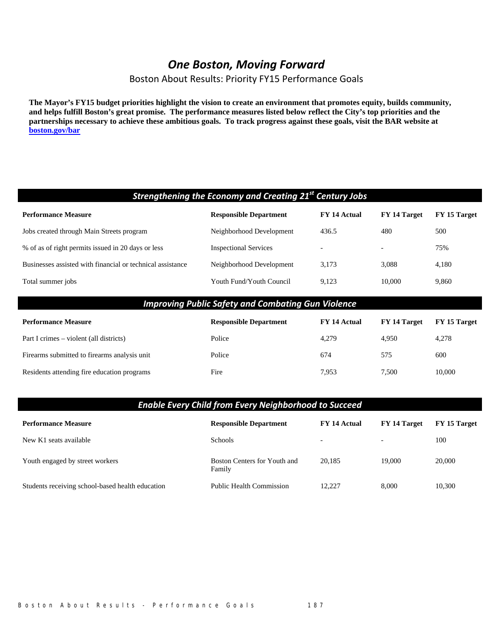# *One Boston, Moving Forward*

Boston About Results: Priority FY15 Performance Goals

**The Mayor's FY15 budget priorities highlight the vision to create an environment that promotes equity, builds community, and helps fulfill Boston's great promise. The performance measures listed below reflect the City's top priorities and the partnerships necessary to achieve these ambitious goals. To track progress against these goals, visit the BAR website at boston.gov/bar**

| Strengthening the Economy and Creating 21 <sup>st</sup> Century Jobs                                        |                               |              |                          |              |
|-------------------------------------------------------------------------------------------------------------|-------------------------------|--------------|--------------------------|--------------|
| <b>Performance Measure</b>                                                                                  | <b>Responsible Department</b> | FY 14 Actual | FY 14 Target             | FY 15 Target |
| Jobs created through Main Streets program                                                                   | Neighborhood Development      | 436.5        | 480                      | 500          |
| % of as of right permits issued in 20 days or less                                                          | <b>Inspectional Services</b>  |              | $\overline{\phantom{a}}$ | 75%          |
| Businesses assisted with financial or technical assistance                                                  | Neighborhood Development      | 3,173        | 3,088                    | 4,180        |
| Total summer jobs                                                                                           | Youth Fund/Youth Council      | 9,123        | 10,000                   | 9,860        |
| <b>Improving Public Safety and Combating Gun Violence</b>                                                   |                               |              |                          |              |
| <b>Performance Measure</b><br>FY 14 Actual<br><b>Responsible Department</b><br>FY 14 Target<br>FY 15 Target |                               |              |                          |              |
|                                                                                                             |                               |              |                          |              |
| Part I crimes – violent (all districts)                                                                     | Police                        | 4,279        | 4,950                    | 4,278        |
| Firearms submitted to firearms analysis unit                                                                | Police                        | 674          | 575                      | 600          |
| Residents attending fire education programs                                                                 | Fire                          | 7,953        | 7,500                    | 10,000       |

| <b>Enable Every Child from Every Neighborhood to Succeed</b> |                                        |                          |                          |              |
|--------------------------------------------------------------|----------------------------------------|--------------------------|--------------------------|--------------|
| <b>Performance Measure</b>                                   | <b>Responsible Department</b>          | <b>FY 14 Actual</b>      | <b>FY 14 Target</b>      | FY 15 Target |
| New K1 seats available                                       | <b>Schools</b>                         | $\overline{\phantom{0}}$ | $\overline{\phantom{0}}$ | 100          |
| Youth engaged by street workers                              | Boston Centers for Youth and<br>Family | 20.185                   | 19,000                   | 20,000       |
| Students receiving school-based health education             | <b>Public Health Commission</b>        | 12.227                   | 8,000                    | 10.300       |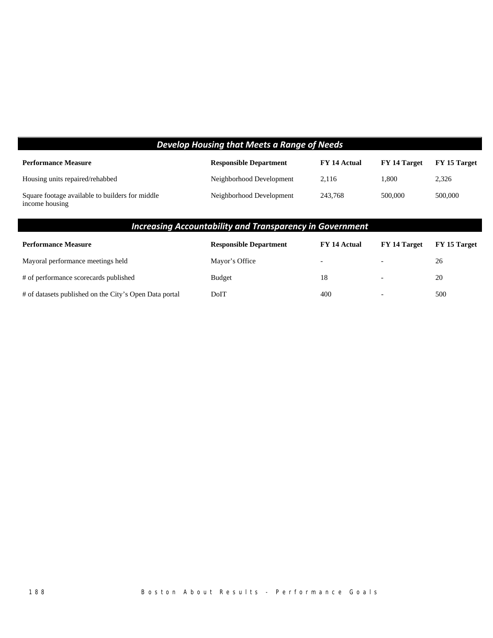| Develop Housing that Meets a Range of Needs                       |                               |              |              |              |
|-------------------------------------------------------------------|-------------------------------|--------------|--------------|--------------|
| <b>Performance Measure</b>                                        | <b>Responsible Department</b> | FY 14 Actual | FY 14 Target | FY 15 Target |
| Housing units repaired/rehabbed                                   | Neighborhood Development      | 2.116        | 1.800        | 2,326        |
| Square footage available to builders for middle<br>income housing | Neighborhood Development      | 243.768      | 500,000      | 500,000      |

# *Increasing Accountability and Transparency in Government*

| <b>Performance Measure</b>                             | <b>Responsible Department</b> | FY 14 Actual             | FY 14 Target             | FY 15 Target |
|--------------------------------------------------------|-------------------------------|--------------------------|--------------------------|--------------|
| Mayoral performance meetings held                      | Mayor's Office                | $\overline{\phantom{0}}$ | $\overline{\phantom{0}}$ | 26           |
| # of performance scorecards published                  | <b>Budget</b>                 | 18                       | $\overline{\phantom{0}}$ | 20           |
| # of datasets published on the City's Open Data portal | DoIT                          | 400                      | $\overline{\phantom{0}}$ | 500          |